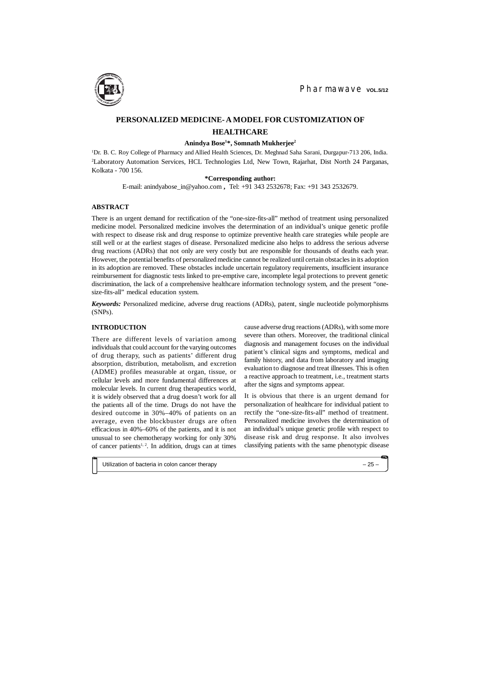## **INTRODUCTION**

There are different levels of variation among individuals that could account for the varying outcomes of drug therapy, such as patients' different drug absorption, distribution, metabolism, and excretion (ADME) profiles measurable at organ, tissue, or cellular levels and more fundamental differences at molecular levels. In current drug therapeutics world, it is widely observed that a drug doesn't work for all the patients all of the time. Drugs do not have the desired outcome in 30%–40% of patients on an average, even the blockbuster drugs are often efficacious in 40%–60% of the patients, and it is not unusual to see chemotherapy working for only 30% of cancer patients<sup>1, 2</sup>. In addition, drugs can at times

<sup>1</sup>Dr. B. C. Roy College of Pharmacy and Allied Health Sciences, Dr. Meghnad Saha Sarani, Durgapur-713 206, India. <sup>2</sup>Laboratory Automation Services, HCL Technologies Ltd, New Town, Rajarhat, Dist North 24 Parganas, Kolkata - 700 156.

# **PERSONALIZED MEDICINE- A MODEL FOR CUSTOMIZATION OF HEALTHCARE**

### **Anindya Bose<sup>1</sup>\*, Somnath Mukherjee<sup>2</sup>**

### **\*Corresponding author:**

E-mail: [anindyabose\\_in@yahoo.com](mailto:anindyabose_in:@yahoo.comTel) **,** Tel: +91 343 2532678; Fax: +91 343 2532679.

### **ABSTRACT**

There is an urgent demand for rectification of the "one-size-fits-all" method of treatment using personalized medicine model. Personalized medicine involves the determination of an individual's unique genetic profile with respect to disease risk and drug response to optimize preventive health care strategies while people are still well or at the earliest stages of disease. Personalized medicine also helps to address the serious adverse drug reactions (ADRs) that not only are very costly but are responsible for thousands of deaths each year. However, the potential benefits of personalized medicine cannot be realized until certain obstacles in its adoption in its adoption are removed. These obstacles include uncertain regulatory requirements, insufficient insurance reimbursement for diagnostic tests linked to pre-emptive care, incomplete legal protections to prevent genetic discrimination, the lack of a comprehensive healthcare information technology system, and the present "onesize-fits-all" medical education system.

*Keywords:* Personalized medicine, adverse drug reactions (ADRs), patent, single nucleotide polymorphisms (SNPs).

> cause adverse drug reactions (ADRs), with some more severe than others. Moreover, the traditional clinical diagnosis and management focuses on the individual patient's clinical signs and symptoms, medical and family history, and data from laboratory and imaging evaluation to diagnose and treat illnesses. This is often a reactive approach to treatment, i.e., treatment starts after the signs and symptoms appear.

> It is obvious that there is an urgent demand for personalization of healthcare for individual patient to rectify the "one-size-fits-all" method of treatment. Personalized medicine involves the determination of an individual's unique genetic profile with respect to disease risk and drug response. It also involves classifying patients with the same phenotypic disease

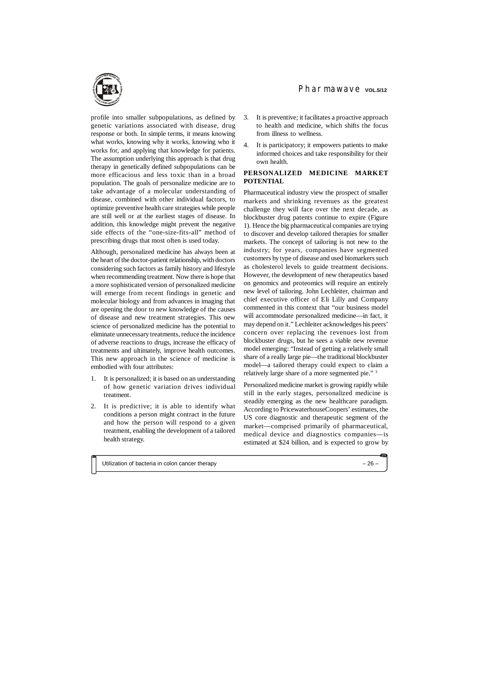profile into smaller subpopulations, as defined by genetic variations associated with disease, drug response or both. In simple terms, it means knowing what works, knowing why it works, knowing who it works for, and applying that knowledge for patients. The assumption underlying this approach is that drug therapy in genetically defined subpopulations can be more efficacious and less toxic than in a broad population. The goals of personalize medicine are to take advantage of a molecular understanding of disease, combined with other individual factors, to optimize preventive health care strategies while people are still well or at the earliest stages of disease. In addition, this knowledge might prevent the negative side effects of the "one-size-fits-all" method of prescribing drugs that most often is used today.

Although, personalized medicine has always been at the heart of the doctor-patient relationship, with doctors considering such factors as family history and lifestyle when recommending treatment. Now there is hope that a more sophisticated version of personalized medicine will emerge from recent findings in genetic and molecular biology and from advances in imaging that are opening the door to new knowledge of the causes of disease and new treatment strategies. This new science of personalized medicine has the potential to eliminate unnecessary treatments, reduce the incidence of adverse reactions to drugs, increase the efficacy of treatments and ultimately, improve health outcomes. This new approach in the science of medicine is embodied with four attributes:

- 1. It is personalized; it is based on an understanding of how genetic variation drives individual treatment.
- 2. It is predictive; it is able to identify what conditions a person might contract in the future and how the person will respond to a given treatment, enabling the development of a tailored health strategy.

3. It is preventive; it facilitates a proactive approach

Pharmawaye vol.5/12

- to health and medicine, which shifts the focus from illness to wellness.
- 4. It is participatory; it empowers patients to make informed choices and take responsibility for their own health.

## **PERSONALIZED MEDICINE MARKET POTENTIAL**

Pharmaceutical industry view the prospect of smaller markets and shrinking revenues as the greatest challenge they will face over the next decade, as blockbuster drug patents continue to expire (Figure 1). Hence the big pharmaceutical companies are trying to discover and develop tailored therapies for smaller markets. The concept of tailoring is not new to the industry; for years, companies have segmented customers by type of disease and used biomarkers such as cholesterol levels to guide treatment decisions. However, the development of new therapeutics based on genomics and proteomics will require an entirely new level of tailoring. John Lechleiter, chairman and chief executive officer of Eli Lilly and Company commented in this context that "our business model will accommodate personalized medicine—in fact, it may depend on it." Lechleiter acknowledges his peers' concern over replacing the revenues lost from blockbuster drugs, but he sees a viable new revenue model emerging: "Instead of getting a relatively small share of a really large pie—the traditional blockbuster model—a tailored therapy could expect to claim a relatively large share of a more segmented pie." <sup>3</sup>

Personalized medicine market is growing rapidly while still in the early stages, personalized medicine is steadily emerging as the new healthcare paradigm. According to PricewaterhouseCoopers' estimates, the US core diagnostic and therapeutic segment of the market—comprised primarily of pharmaceutical, medical device and diagnostics companies—is estimated at \$24 billion, and is expected to grow by

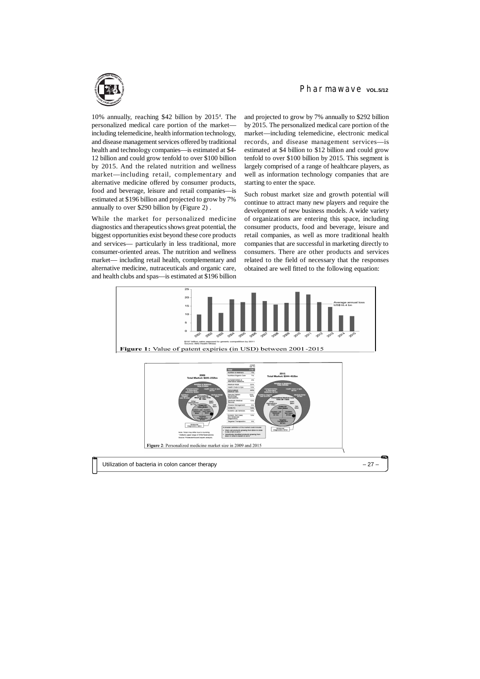10% annually, reaching \$42 billion by 2015<sup>4</sup> . The personalized medical care portion of the market including telemedicine, health information technology, and disease management services offered by traditional health and technology companies—is estimated at \$4- 12 billion and could grow tenfold to over \$100 billion by 2015. And the related nutrition and wellness market—including retail, complementary and alternative medicine offered by consumer products, food and beverage, leisure and retail companies—is estimated at \$196 billion and projected to grow by 7% annually to over \$290 billion by (Figure 2) .

While the market for personalized medicine diagnostics and therapeutics shows great potential, the biggest opportunities exist beyond these core products and services— particularly in less traditional, more consumer-oriented areas. The nutrition and wellness market— including retail health, complementary and alternative medicine, nutraceuticals and organic care, and health clubs and spas—is estimated at \$196 billion

# Pharmawave vol.5/12

and projected to grow by 7% annually to \$292 billion by 2015. The personalized medical care portion of the market—including telemedicine, electronic medical records, and disease management services—is estimated at \$4 billion to \$12 billion and could grow tenfold to over \$100 billion by 2015. This segment is largely comprised of a range of healthcare players, as well as information technology companies that are starting to enter the space.



Such robust market size and growth potential will continue to attract many new players and require the development of new business models. A wide variety of organizations are entering this space, including consumer products, food and beverage, leisure and retail companies, as well as more traditional health companies that are successful in marketing directly to consumers. There are other products and services related to the field of necessary that the responses obtained are well fitted to the following equation:

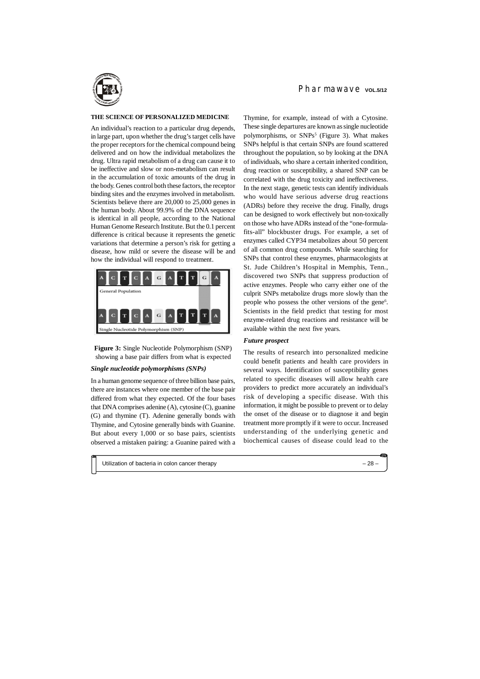#### **THE SCIENCE OF PERSONALIZED MEDICINE**

An individual's reaction to a particular drug depends, in large part, upon whether the drug's target cells have the proper receptors for the chemical compound being delivered and on how the individual metabolizes the drug. Ultra rapid metabolism of a drug can cause it to be ineffective and slow or non-metabolism can result in the accumulation of toxic amounts of the drug in the body. Genes control both these factors, the receptor binding sites and the enzymes involved in metabolism. Scientists believe there are 20,000 to 25,000 genes in the human body. About 99.9% of the DNA sequence is identical in all people, according to the National Human Genome Research Institute. But the 0.1 percent difference is critical because it represents the genetic variations that determine a person's risk for getting a disease, how mild or severe the disease will be and how the individual will respond to treatment.



**Figure 3:** Single Nucleotide Polymorphism (SNP) showing a base pair differs from what is expected

### *Single nucleotide polymorphisms (SNPs)*

In a human genome sequence of three billion base pairs, there are instances where one member of the base pair differed from what they expected. Of the four bases that DNA comprises adenine (A), cytosine (C), guanine (G) and thymine (T). Adenine generally bonds with Thymine, and Cytosine generally binds with Guanine. But about every 1,000 or so base pairs, scientists observed a mistaken pairing: a Guanine paired with a Thymine, for example, instead of with a Cytosine. These single departures are known as single nucleotide polymorphisms, or SNPs<sup>5</sup> (Figure 3). What makes SNPs helpful is that certain SNPs are found scattered throughout the population, so by looking at the DNA of individuals, who share a certain inherited condition, drug reaction or susceptibility, a shared SNP can be correlated with the drug toxicity and ineffectiveness. In the next stage, genetic tests can identify individuals who would have serious adverse drug reactions (ADRs) before they receive the drug. Finally, drugs can be designed to work effectively but non-toxically on those who have ADRs instead of the "one-formulafits-all" blockbuster drugs. For example, a set of enzymes called CYP34 metabolizes about 50 percent of all common drug compounds. While searching for SNPs that control these enzymes, pharmacologists at St. Jude Children's Hospital in Memphis, Tenn., discovered two SNPs that suppress production of active enzymes. People who carry either one of the culprit SNPs metabolize drugs more slowly than the people who possess the other versions of the gene<sup>6</sup>. Scientists in the field predict that testing for most enzyme-related drug reactions and resistance will be available within the next five years.

### *Future prospect*

The results of research into personalized medicine could benefit patients and health care providers in several ways. Identification of susceptibility genes related to specific diseases will allow health care providers to predict more accurately an individual's risk of developing a specific disease. With this information, it might be possible to prevent or to delay the onset of the disease or to diagnose it and begin treatment more promptly if it were to occur. Increased understanding of the underlying genetic and biochemical causes of disease could lead to the

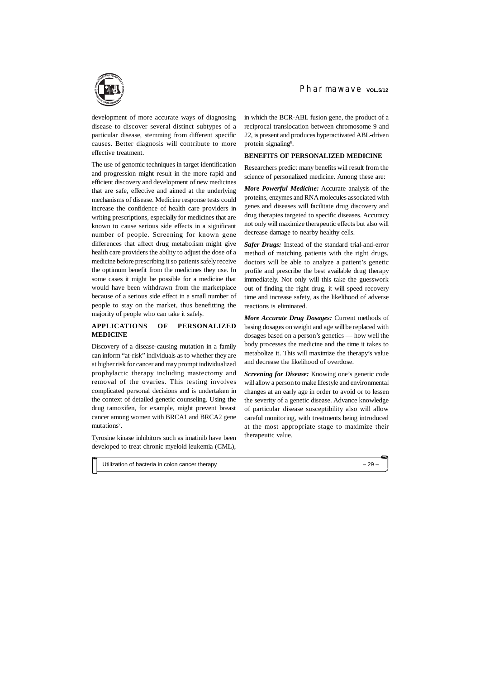development of more accurate ways of diagnosing disease to discover several distinct subtypes of a particular disease, stemming from different specific causes. Better diagnosis will contribute to more effective treatment.

Discovery of a disease-causing mutation in a family can inform "at-risk" individuals as to whether they are at higher risk for cancer and may prompt individualized prophylactic therapy including mastectomy and removal of the ovaries. This testing involves complicated personal decisions and is undertaken in the context of detailed genetic counseling. Using the drug tamoxifen, for example, might prevent breast cancer among women with BRCA1 and BRCA2 gene mutations<sup>7</sup>.

The use of genomic techniques in target identification and progression might result in the more rapid and efficient discovery and development of new medicines that are safe, effective and aimed at the underlying mechanisms of disease. Medicine response tests could increase the confidence of health care providers in writing prescriptions, especially for medicines that are known to cause serious side effects in a significant number of people. Screening for known gene differences that affect drug metabolism might give health care providers the ability to adjust the dose of a medicine before prescribing it so patients safely receive the optimum benefit from the medicines they use. In some cases it might be possible for a medicine that would have been withdrawn from the marketplace because of a serious side effect in a small number of people to stay on the market, thus benefitting the majority of people who can take it safely.

in which the BCR-ABL fusion gene, the product of a reciprocal translocation between chromosome 9 and 22, is present and produces hyperactivated ABL-driven protein signaling<sup>8</sup>.

# **APPLICATIONS OF PERSONALIZED MEDICINE**

Tyrosine kinase inhibitors such as imatinib have been developed to treat chronic myeloid leukemia (CML),

### **BENEFITS OF PERSONALIZED MEDICINE**

Researchers predict many benefits will result from the science of personalized medicine. Among these are:

*More Powerful Medicine:* Accurate analysis of the proteins, enzymes and RNA molecules associated with genes and diseases will facilitate drug discovery and drug therapies targeted to specific diseases. Accuracy not only will maximize therapeutic effects but also will decrease damage to nearby healthy cells.

*Safer Drugs:* Instead of the standard trial-and-error method of matching patients with the right drugs, doctors will be able to analyze a patient's genetic profile and prescribe the best available drug therapy immediately. Not only will this take the guesswork out of finding the right drug, it will speed recovery time and increase safety, as the likelihood of adverse reactions is eliminated.

*More Accurate Drug Dosages:* Current methods of basing dosages on weight and age will be replaced with dosages based on a person's genetics — how well the body processes the medicine and the time it takes to metabolize it. This will maximize the therapy's value and decrease the likelihood of overdose.

*Screening for Disease:* Knowing one's genetic code will allow a person to make lifestyle and environmental changes at an early age in order to avoid or to lessen the severity of a genetic disease. Advance knowledge of particular disease susceptibility also will allow careful monitoring, with treatments being introduced at the most appropriate stage to maximize their therapeutic value.

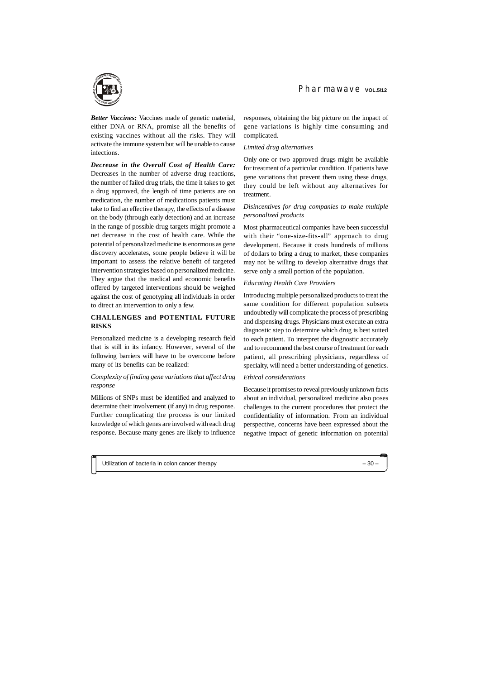*Better Vaccines:* Vaccines made of genetic material, either DNA or RNA, promise all the benefits of existing vaccines without all the risks. They will activate the immune system but will be unable to cause infections.

*Decrease in the Overall Cost of Health Care:* Decreases in the number of adverse drug reactions, the number of failed drug trials, the time it takes to get a drug approved, the length of time patients are on medication, the number of medications patients must take to find an effective therapy, the effects of a disease on the body (through early detection) and an increase in the range of possible drug targets might promote a net decrease in the cost of health care. While the potential of personalized medicine is enormous as gene discovery accelerates, some people believe it will be important to assess the relative benefit of targeted intervention strategies based on personalized medicine. They argue that the medical and economic benefits offered by targeted interventions should be weighed against the cost of genotyping all individuals in order to direct an intervention to only a few.

### **CHALLENGES and POTENTIAL FUTURE RISKS**

Personalized medicine is a developing research field that is still in its infancy. However, several of the following barriers will have to be overcome before many of its benefits can be realized:

### *Complexity of finding gene variations that affect drug response*

Millions of SNPs must be identified and analyzed to determine their involvement (if any) in drug response. Further complicating the process is our limited knowledge of which genes are involved with each drug response. Because many genes are likely to influence responses, obtaining the big picture on the impact of gene variations is highly time consuming and complicated.

#### *Limited drug alternatives*

Only one or two approved drugs might be available for treatment of a particular condition. If patients have gene variations that prevent them using these drugs, they could be left without any alternatives for treatment.

## *Disincentives for drug companies to make multiple personalized products*

Most pharmaceutical companies have been successful with their "one-size-fits-all" approach to drug development. Because it costs hundreds of millions of dollars to bring a drug to market, these companies may not be willing to develop alternative drugs that serve only a small portion of the population.

### *Educating Health Care Providers*

Introducing multiple personalized products to treat the same condition for different population subsets undoubtedly will complicate the process of prescribing and dispensing drugs. Physicians must execute an extra diagnostic step to determine which drug is best suited to each patient. To interpret the diagnostic accurately and to recommend the best course of treatment for each patient, all prescribing physicians, regardless of specialty, will need a better understanding of genetics.

#### *Ethical considerations*

Because it promises to reveal previously unknown facts about an individual, personalized medicine also poses challenges to the current procedures that protect the confidentiality of information. From an individual perspective, concerns have been expressed about the negative impact of genetic information on potential